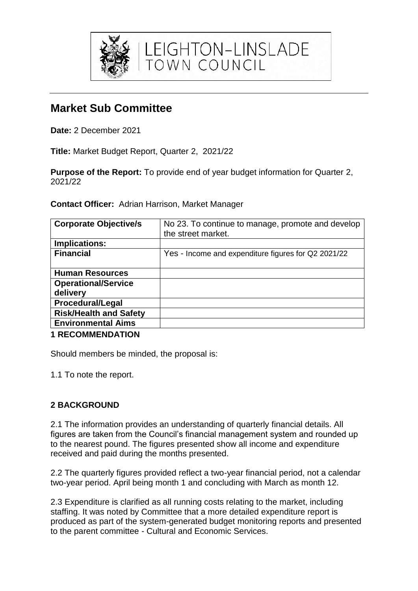

# **Market Sub Committee**

**Date:** 2 December 2021

**Title:** Market Budget Report, Quarter 2, 2021/22

**Purpose of the Report:** To provide end of year budget information for Quarter 2, 2021/22

**Contact Officer:** Adrian Harrison, Market Manager

| <b>Corporate Objective/s</b>           | No 23. To continue to manage, promote and develop<br>the street market. |
|----------------------------------------|-------------------------------------------------------------------------|
| Implications:                          |                                                                         |
| <b>Financial</b>                       | Yes - Income and expenditure figures for Q2 2021/22                     |
| <b>Human Resources</b>                 |                                                                         |
| <b>Operational/Service</b><br>delivery |                                                                         |
| <b>Procedural/Legal</b>                |                                                                         |
| <b>Risk/Health and Safety</b>          |                                                                         |
| <b>Environmental Aims</b>              |                                                                         |
|                                        |                                                                         |

**1 RECOMMENDATION**

Should members be minded, the proposal is:

1.1 To note the report.

## **2 BACKGROUND**

2.1 The information provides an understanding of quarterly financial details. All figures are taken from the Council's financial management system and rounded up to the nearest pound. The figures presented show all income and expenditure received and paid during the months presented.

2.2 The quarterly figures provided reflect a two-year financial period, not a calendar two-year period. April being month 1 and concluding with March as month 12.

2.3 Expenditure is clarified as all running costs relating to the market, including staffing. It was noted by Committee that a more detailed expenditure report is produced as part of the system-generated budget monitoring reports and presented to the parent committee - Cultural and Economic Services.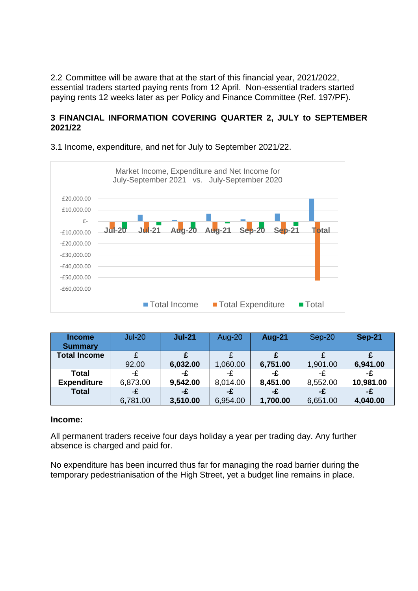2.2 Committee will be aware that at the start of this financial year, 2021/2022, essential traders started paying rents from 12 April. Non-essential traders started paying rents 12 weeks later as per Policy and Finance Committee (Ref. 197/PF).

## **3 FINANCIAL INFORMATION COVERING QUARTER 2, JULY to SEPTEMBER 2021/22**



3.1 Income, expenditure, and net for July to September 2021/22.

| <b>Income</b>       | <b>Jul-20</b> | $Jul-21$ | Aug-20   | <b>Aug-21</b> | $Sep-20$ | <b>Sep-21</b> |
|---------------------|---------------|----------|----------|---------------|----------|---------------|
| <b>Summary</b>      |               |          |          |               |          |               |
| <b>Total Income</b> |               |          |          |               |          |               |
|                     | 92.00         | 6,032.00 | 1,060.00 | 6,751.00      | 1,901.00 | 6,941.00      |
| Total               | -£            | -£       | -£.      | -£            | -F       | -£            |
| <b>Expenditure</b>  | 6,873.00      | 9,542.00 | 8,014.00 | 8,451.00      | 8,552.00 | 10,981.00     |
| <b>Total</b>        | -£            | -£       | -£       | -£            | -£       | -£            |
|                     | 6,781.00      | 3,510.00 | 6,954.00 | 1,700.00      | 6,651.00 | 4,040.00      |

#### **Income:**

All permanent traders receive four days holiday a year per trading day. Any further absence is charged and paid for.

No expenditure has been incurred thus far for managing the road barrier during the temporary pedestrianisation of the High Street, yet a budget line remains in place.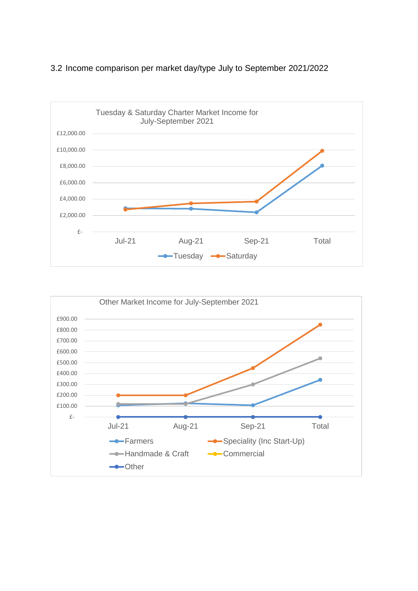

## 3.2 Income comparison per market day/type July to September 2021/2022